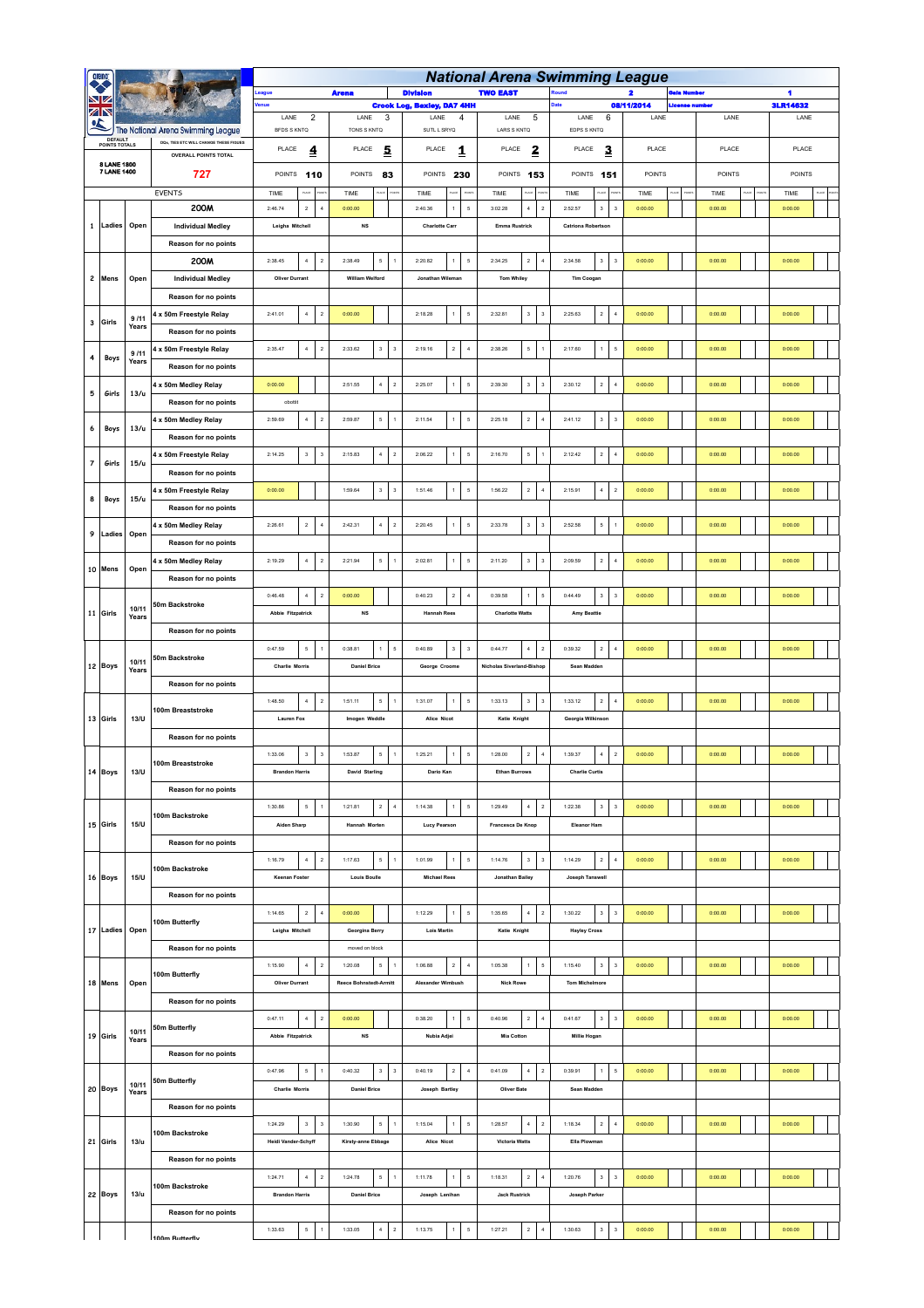|                | arena                      |                |                                                                              |                                                   |                                                    |                                                             | <b>National Arena Swimming League</b>               |                                                                 |                                    |             |         |                 |  |
|----------------|----------------------------|----------------|------------------------------------------------------------------------------|---------------------------------------------------|----------------------------------------------------|-------------------------------------------------------------|-----------------------------------------------------|-----------------------------------------------------------------|------------------------------------|-------------|---------|-----------------|--|
|                |                            |                |                                                                              |                                                   | <b>Arena</b>                                       | <b>Division</b>                                             | <b>TWO EAST</b>                                     |                                                                 |                                    | Bala Humber |         | 1               |  |
|                | ZN                         |                |                                                                              |                                                   |                                                    | <b>Crook Log, Bexley, DA7 4HH</b>                           |                                                     |                                                                 | 08/11/2014<br><b>Jeense number</b> |             |         | <b>3LR14632</b> |  |
|                |                            |                |                                                                              | LANE<br>$\overline{2}$                            | LANE<br>$\mathbf{3}$                               | LANE<br>4                                                   | LANE<br>5                                           | LANE<br>6                                                       | LANE                               |             | LANE    | LANE            |  |
|                | DEFAULT                    |                | The National Arena Swimming League<br>DOs, TIES ETC WILL CHANGE THESE FIGUES | BFDS S KNTQ                                       | TONS S KNTQ                                        | SUTL L SRYQ                                                 | LARS S KNTQ                                         | EDPS S KNTQ                                                     |                                    |             |         |                 |  |
|                | <b>POINTS TOTALS</b>       |                | <b>OVERALL POINTS TOTAL</b>                                                  | PLACE<br>4                                        | PLACE<br>5                                         | PLACE<br>1                                                  | PLACE<br>2                                          | PLACE<br>3                                                      | PLACE                              |             | PLACE   | PLACE           |  |
|                | 8 LANE 1800<br>7 LANE 1400 |                |                                                                              | POINTS 110                                        | <b>POINTS</b>                                      |                                                             | POINTS 153                                          |                                                                 | <b>POINTS</b>                      |             | POINTS  | POINTS          |  |
|                |                            |                | 727                                                                          |                                                   | 83                                                 | POINTS 230                                                  |                                                     | POINTS 151                                                      |                                    |             |         |                 |  |
|                |                            |                | <b>EVENTS</b>                                                                | TIME<br>ua                                        | TIME                                               | TIME                                                        | TIME                                                | TIME                                                            | TIME                               |             | TIME    | TIME            |  |
|                |                            |                | 200M                                                                         | 2:46.74<br>$\,$ 2 $\,$<br>$\boldsymbol{4}$        | 0:00.00                                            | 2:40.36<br>$\mathsf{s}$<br>$\ddot{\phantom{1}}$             | 3:02.28<br>$\,$ 4 $\,$<br>$\,$ 2 $\,$               | 2:52.57<br>$\ensuremath{\mathsf{3}}$<br>$\overline{\mathbf{3}}$ | 0:00.00                            |             | 0:00.00 | 0:00.00         |  |
| $\mathbf{1}$   | Ladies                     | Open           | <b>Individual Medley</b>                                                     | Leigha Mitchell                                   | $_{\rm NS}$                                        | <b>Charlotte Carr</b>                                       | <b>Emma Rustrick</b>                                | <b>Catriona Robertson</b>                                       |                                    |             |         |                 |  |
|                |                            |                | Reason for no points                                                         |                                                   |                                                    |                                                             |                                                     |                                                                 |                                    |             |         |                 |  |
|                |                            |                | 200M                                                                         | 2:38.45<br>$\,$ 4 $\,$<br>$\,$ 2 $\,$             | 2:38.49<br>5                                       | 2:20.82<br>$\mathsf{s}$<br>$\ddot{\phantom{1}}$             | 2:34.25<br>$\,$ 2 $\,$<br>$\boldsymbol{4}$          | 2:34.58<br>$\mathsf 3$<br>$\overline{\mathbf{3}}$               | 0:00.00                            |             | 0:00.00 | 0:00.00         |  |
|                | 2 Mens                     | Open           | <b>Individual Medley</b>                                                     | <b>Oliver Durrant</b>                             | <b>William Welford</b>                             | Jonathan Wileman                                            | <b>Tom Whiley</b>                                   | <b>Tim Coogan</b>                                               |                                    |             |         |                 |  |
|                |                            |                |                                                                              |                                                   |                                                    |                                                             |                                                     |                                                                 |                                    |             |         |                 |  |
|                |                            |                | Reason for no points                                                         |                                                   |                                                    |                                                             |                                                     |                                                                 |                                    |             |         |                 |  |
| 3              | Girls                      | 9/11           | 4 x 50m Freestyle Relay                                                      | $\,$ 4 $\,$<br>2:41.01<br>$\sqrt{2}$              | 0:00.00                                            | 2:18.28<br>$\overline{\phantom{a}}$<br>$\mathbf{1}$         | $\mathbf 3$<br>2:32.81<br>3                         | $\overline{2}$<br>2:25.63<br>$\overline{4}$                     | 0:00.00                            |             | 0:00.00 | 0:00.00         |  |
|                |                            | Years<br>9/11  | Reason for no points                                                         |                                                   |                                                    |                                                             |                                                     |                                                                 |                                    |             |         |                 |  |
|                |                            |                | 4 x 50m Freestyle Relay                                                      | 2:35.47<br>$\overline{4}$<br>$\sqrt{2}$           | 2:33.62<br>$\mathbf 3$<br>$\overline{\mathbf{3}}$  | 2:19.16<br>$\boldsymbol{2}$<br>$\overline{4}$               | $\mathsf{s}$<br>2:38.26                             | 2:17.60<br>$\,1\,$<br>$\sqrt{5}$                                | 0:00.00                            |             | 0:00.00 | 0:00.00         |  |
| 4              | Boys                       | Years          | Reason for no points                                                         |                                                   |                                                    |                                                             |                                                     |                                                                 |                                    |             |         |                 |  |
|                |                            |                | 4 x 50m Medley Relay                                                         | 0:00.00                                           | 2:51.55<br>$\sim$<br>$\overline{2}$                | 2:25.07<br>$\overline{1}$<br>$\overline{\phantom{a}}$       | $\mathbf 3$<br>2:39.30<br>$\overline{\mathbf{3}}$   | 2:30.12<br>$\overline{2}$<br>$\overline{4}$                     | 0:00.00                            |             | 0:00.00 | 0:00.00         |  |
| 5              | Girls                      | 13/u           | Reason for no points                                                         | obottit                                           |                                                    |                                                             |                                                     |                                                                 |                                    |             |         |                 |  |
|                |                            |                |                                                                              |                                                   |                                                    |                                                             |                                                     |                                                                 |                                    |             |         |                 |  |
| 6              | Boys                       | 13/u           | 4 x 50m Medley Relay                                                         | 2:59.69<br>$\,$ 4 $\,$<br>$\,$ 2 $\,$             | 2:59.87<br>$\mathsf{s}\,$<br>$\overline{1}$        | 2:11.54<br>$\mathsf s$<br>$\ddot{\phantom{1}}$              | 2:25.18<br>$\,$ 2 $\,$<br>$\boldsymbol{4}$          | 2:41.12<br>$\ensuremath{\mathsf{3}}$<br>$\overline{\mathbf{3}}$ | 0:00.00                            |             | 0:00.00 | 0:00.00         |  |
|                |                            |                | Reason for no points                                                         |                                                   |                                                    |                                                             |                                                     |                                                                 |                                    |             |         |                 |  |
|                | Girls                      | 15/u           | 4 x 50m Freestyle Relay                                                      | 2:14.25<br>$\mathbf{3}$<br>$_{\rm 3}$             | 2:15.83<br>$\sim$<br>$\overline{\mathbf{z}}$       | 2:06.22<br>$\mathsf{s}$<br>$\mathbf{1}$                     | 2:16.70<br>$\mathsf{s}$<br>$\mathbf{1}$             | 2:12.42<br>$\overline{2}$<br>$\overline{4}$                     | 0:00.00                            |             | 0:00.00 | 0:00.00         |  |
| $\overline{7}$ |                            |                | Reason for no points                                                         |                                                   |                                                    |                                                             |                                                     |                                                                 |                                    |             |         |                 |  |
|                |                            |                | 4 x 50m Freestyle Relay                                                      | 0:00.00                                           | 1:59.64<br>$\mathbf 3$<br>$\overline{\mathbf{3}}$  | 1:51.46<br>$\mathsf{s}$<br>$\overline{1}$                   | $\,$ 2 $\,$<br>1:56.22<br>$\ddot{4}$                | 2:15.91<br>$\bf{4}$<br>$\sqrt{2}$                               | 0:00.00                            |             | 0:00.00 | 0:00.00         |  |
| 8              | Boys                       | 15/u           | Reason for no points                                                         |                                                   |                                                    |                                                             |                                                     |                                                                 |                                    |             |         |                 |  |
| 9              |                            |                | 4 x 50m Medley Relay                                                         | $\,$ 2 $\,$<br>2:26.61<br>$\sqrt{4}$              | 2:42.31<br>$\,$ 4 $\,$<br>$\overline{\phantom{a}}$ | 2:20.45<br>$\ddot{\phantom{1}}$<br>$\overline{\phantom{a}}$ | $\mathbf 3$<br>2:33.78<br>$^{\rm 3}$                | $\mathsf{s}$<br>2:52.58<br>$\overline{1}$                       | 0:00.00                            |             | 0:00.00 | 0:00.00         |  |
|                | Ladies                     | Open           |                                                                              |                                                   |                                                    |                                                             |                                                     |                                                                 |                                    |             |         |                 |  |
|                | 10 Mens                    | Open           | Reason for no points                                                         |                                                   |                                                    |                                                             |                                                     |                                                                 |                                    |             |         |                 |  |
|                |                            |                | 4 x 50m Medley Relay                                                         | $\bf{4}$<br>$\overline{2}$<br>2:19.29             | $\mathsf{s}$<br>2:21.94<br>$\overline{1}$          | $\mathsf{s}$<br>2:02.81<br>$\mathbf{1}$                     | $\mathbf 3$<br>2:11.20<br>$\mathbf{3}$              | $\,$ 2 $\,$<br>$\sqrt{4}$<br>2:09.59                            | 0:00.00                            |             | 0:00.00 | 0:00.00         |  |
|                |                            |                | Reason for no points                                                         |                                                   |                                                    |                                                             |                                                     |                                                                 |                                    |             |         |                 |  |
|                |                            |                |                                                                              | 0:46.48<br>$\overline{4}$<br>$\overline{2}$       | 0:00.00                                            | 0:40.23<br>$\overline{2}$<br>$\overline{4}$                 | 0:39.58<br>5<br>$\overline{1}$                      | 0:44.49<br>$\mathbf{3}$<br>$\overline{\mathbf{3}}$              | 0:00.00                            |             | 0:00.00 | 0:00.00         |  |
|                | 11 Girls                   | 10/11<br>Years | 50m Backstroke                                                               | <b>Abbie Fitzpatrick</b>                          | $_{\rm NS}$                                        | <b>Hannah Rees</b>                                          | <b>Charlotte Watts</b>                              | <b>Amy Beattie</b>                                              |                                    |             |         |                 |  |
|                |                            |                | Reason for no points                                                         |                                                   |                                                    |                                                             |                                                     |                                                                 |                                    |             |         |                 |  |
|                |                            |                |                                                                              | 0:47.59<br>$\mathsf{s}$<br>$\overline{1}$         | 0:38.81<br>5<br>1                                  | 0:40.89<br>$\scriptstyle\rm 3$<br>$\,$ 3                    | 0:44.77<br>$\,$ 4 $\,$<br>$\,$ 2 $\,$               | 0:39.32<br>$\,$ 2 $\,$<br>$\sqrt{4}$                            | 0:00.00                            |             | 0:00.00 | 0:00.00         |  |
|                | 12 Boys                    | 10/11<br>Years | 50m Backstroke                                                               |                                                   |                                                    |                                                             |                                                     |                                                                 |                                    |             |         |                 |  |
|                |                            |                |                                                                              | <b>Charlie Morris</b>                             | <b>Daniel Brice</b>                                | George Croome                                               | <b>Nicholas Siverland-Bishop</b>                    | Sean Madden                                                     |                                    |             |         |                 |  |
|                |                            |                | Reason for no points                                                         |                                                   |                                                    |                                                             |                                                     |                                                                 |                                    |             |         |                 |  |
|                | 13 Girls                   |                | 100m Breaststroke                                                            | 1:48.50<br>$\,$ 4 $\,$<br>$\,$ 2 $\,$             | 1:51.11<br>5<br>$\overline{1}$                     | 1:31.07<br>$\mathsf{s}$                                     | 1:33.13<br>$\mathbf 3$<br>$\ensuremath{\mathsf{3}}$ | 1:33.12<br>$\mathbf{2}$<br>$\sqrt{4}$                           | 0:00.00                            |             | 0:00.00 | 0:00.00         |  |
|                |                            | 13/U           |                                                                              | <b>Lauren Fox</b>                                 | Imogen Weddle                                      | <b>Alice Nicot</b>                                          | Katie Knight                                        | Georgia Wilkinson                                               |                                    |             |         |                 |  |
|                |                            |                | Reason for no points                                                         |                                                   |                                                    |                                                             |                                                     |                                                                 |                                    |             |         |                 |  |
|                |                            |                |                                                                              | 1:33.06<br>$_{\rm 3}$<br>$\,$ 3                   | 1:53.87<br>$\mathsf{s}\,$<br>$\overline{1}$        | 1:25.21<br>$\,$ 1 $\,$<br>$\mathsf{s}$                      | 1:28.00<br>$\sqrt{2}$<br>$\boldsymbol{4}$           | 1:39.37<br>$\,$ 4 $\,$<br>$\sqrt{2}$                            | 0:00.00                            |             | 0:00.00 | 0:00.00         |  |
|                | 14 Boys                    | 13/U           | 100m Breaststroke                                                            | <b>Brandon Harris</b>                             | <b>David Starling</b>                              | Dario Kan                                                   | <b>Ethan Burrows</b>                                | <b>Charlie Curtis</b>                                           |                                    |             |         |                 |  |
|                |                            |                |                                                                              |                                                   |                                                    |                                                             |                                                     |                                                                 |                                    |             |         |                 |  |
|                |                            |                | Reason for no points                                                         |                                                   |                                                    |                                                             |                                                     |                                                                 |                                    |             |         |                 |  |
|                |                            |                | 100m Backstroke                                                              | $\mathsf{s}$<br>1:30.86<br>$\overline{1}$         | 1:21.81<br>$\,$ 2 $\,$<br>$\sqrt{4}$               | $\mathsf{s}$<br>1:14.38<br>$\mathbf{1}$                     | $\,$ 4 $\,$<br>$\,$ 2 $\,$<br>1:29.49               | 1:22.38<br>$\ensuremath{\mathsf{3}}$<br>$^{\rm 3}$              | 0:00.00                            |             | 0:00.00 | 0:00.00         |  |
|                | 15 Girls                   | 15/U           |                                                                              | Aiden Sharp                                       | Hannah Morten                                      | <b>Lucy Pearson</b>                                         | Francesca De Knop                                   | Eleanor Ham                                                     |                                    |             |         |                 |  |
|                |                            |                | Reason for no points                                                         |                                                   |                                                    |                                                             |                                                     |                                                                 |                                    |             |         |                 |  |
|                |                            |                |                                                                              | 1:16.79<br>$4 -$<br>$\sqrt{2}$                    | 1:17.63<br>5<br>$\overline{1}$                     | 1:01.99<br>$\,$ 1 $\,$<br>$\mathsf{s}$                      | 1:14.76<br>$\mathbf 3$<br>$^{\rm 3}$                | 1:14.29<br>$\,$ 2 $\,$<br>$\sqrt{4}$                            | 0:00.00                            |             | 0:00.00 | 0:00.00         |  |
|                | 16 Boys                    | 15/ U          | 100m Backstroke                                                              | <b>Keenan Foster</b>                              | <b>Louis Boulle</b>                                | <b>Michael Rees</b>                                         | Jonathan Bailey                                     | Joseph Tanswell                                                 |                                    |             |         |                 |  |
|                |                            |                | Reason for no points                                                         |                                                   |                                                    |                                                             |                                                     |                                                                 |                                    |             |         |                 |  |
|                |                            |                |                                                                              | 1:14.65<br>$\boldsymbol{2}$<br>$\overline{4}$     | 0:00.00                                            | 1:12.29<br>$\,$ 1 $\,$<br>$\mathsf{s}$                      | 1:35.65<br>$\sim$<br>$\sqrt{2}$                     | 1:30.22<br>$\mathbf{3}$<br>$\overline{\mathbf{3}}$              | 0:00.00                            |             | 0:00.00 | 0:00.00         |  |
|                |                            |                | 100m Butterfly                                                               |                                                   |                                                    |                                                             |                                                     |                                                                 |                                    |             |         |                 |  |
|                | 17 Ladies Open             |                |                                                                              | Leigha Mitchell                                   | <b>Georgina Berry</b>                              | <b>Lois Martin</b>                                          | Katie Knight                                        | <b>Hayley Cross</b>                                             |                                    |             |         |                 |  |
|                |                            |                | Reason for no points                                                         |                                                   | moved on block                                     |                                                             |                                                     |                                                                 |                                    |             |         |                 |  |
|                |                            |                | 100m Butterfly                                                               | 1:15.90<br>$\,$ 4 $\,$<br>$\overline{2}$          | $\,$ 5 $\,$<br>1:20.08<br>$\overline{1}$           | $\overline{2}$<br>$\,$ 4 $\,$<br>1:06.88                    | 1:05.38<br>$\mathsf{s}$<br>$\mathbf{1}$             | $3^{\circ}$<br>$\overline{\mathbf{3}}$<br>1:15.40               | 0:00.00                            |             | 0:00.00 | 0:00.00         |  |
|                | 18 Mens                    | Open           |                                                                              | <b>Oliver Durrant</b>                             | Reece Bohnstedt-Armitt                             | <b>Alexander Wimbush</b>                                    | <b>Nick Rowe</b>                                    | <b>Tom Michelmore</b>                                           |                                    |             |         |                 |  |
|                |                            |                | Reason for no points                                                         |                                                   |                                                    |                                                             |                                                     |                                                                 |                                    |             |         |                 |  |
|                |                            |                |                                                                              | 0:47.11<br>$\,$ 4 $\,$<br>$\sqrt{2}$              | 0:00.00                                            | 0:38.20<br>$\,$ 1 $\,$<br>$\mathsf{s}$                      | 0:40.96<br>$\,$ 2 $\,$<br>$\sqrt{4}$                | 0:41.67<br>$\mathbf{3}$<br>$\overline{\mathbf{3}}$              | 0:00.00                            |             | 0:00.00 | 0:00.00         |  |
|                | 19 Girls                   | 10/11          | 50m Butterfly                                                                |                                                   |                                                    |                                                             |                                                     |                                                                 |                                    |             |         |                 |  |
|                |                            | Years          |                                                                              | <b>Abbie Fitzpatrick</b>                          | NS                                                 | Nubia Adjei                                                 | <b>Mia Cotton</b>                                   | Millie Hogan                                                    |                                    |             |         |                 |  |
|                |                            |                | Reason for no points                                                         |                                                   |                                                    |                                                             |                                                     |                                                                 |                                    |             |         |                 |  |
|                |                            |                | 50m Butterfly                                                                | $\mathsf{s}\,$<br>0:47.96<br>$\overline{1}$       | 0:40.32<br>$\mathbf 3$<br>$\overline{\mathbf{3}}$  | $\,$ 2 $\,$<br>0:40.19<br>$\,$ 4 $\,$                       | 0:41.09<br>$\,$ 4 $\,$<br>$\sqrt{2}$                | 0:39.91<br>$\mathbf{1}$<br>$\sqrt{5}$                           | 0:00.00                            |             | 0:00.00 | 0:00.00         |  |
|                | 20 Boys                    | 10/11<br>Years |                                                                              | <b>Charlie Morris</b>                             | <b>Daniel Brice</b>                                | Joseph Bartley                                              | Oliver Bate                                         | Sean Madden                                                     |                                    |             |         |                 |  |
|                |                            |                | Reason for no points                                                         |                                                   |                                                    |                                                             |                                                     |                                                                 |                                    |             |         |                 |  |
|                |                            |                |                                                                              | $3^{\circ}$<br>$\overline{\mathbf{3}}$<br>1:24.29 | $\mathsf{s}\,$<br>1:30.90<br>$\overline{1}$        | 1:15.04<br>$\ddot{\phantom{1}}$<br>$\mathsf{s}$             | $\,$ 4 $\,$<br>1:28.57<br>$\sqrt{2}$                | $\,$ 2 $\,$<br>$\sqrt{4}$<br>1:18.34                            | 0:00.00                            |             | 0:00.00 | 0:00.00         |  |
|                | 21 Girls                   | 13/u           | 100m Backstroke                                                              | <b>Heidi Vander-Schyff</b>                        | Kirsty-anne Ebbage                                 | Alice Nicot                                                 | <b>Victoria Watts</b>                               | Ella Plowman                                                    |                                    |             |         |                 |  |
|                |                            |                |                                                                              |                                                   |                                                    |                                                             |                                                     |                                                                 |                                    |             |         |                 |  |
|                |                            |                | Reason for no points                                                         |                                                   |                                                    |                                                             |                                                     |                                                                 |                                    |             |         |                 |  |
|                |                            |                | 100m Backstroke                                                              | $\bf{4}$<br>$\sqrt{2}$<br>1:24.71                 | 1:24.78<br>$\mathsf{s}$<br>$\overline{1}$          | 1:11.78<br>$\ddot{\phantom{1}}$<br>$\sqrt{5}$               | $\,$ 2 $\,$<br>1:18.31<br>$\sqrt{4}$                | 1:20.76<br>$^{\rm 3}$<br>$\overline{\mathbf{3}}$                | 0:00.00                            |             | 0:00.00 | 0:00.00         |  |
|                | 22 Boys                    | 13/u           |                                                                              | <b>Brandon Harris</b>                             | <b>Daniel Brice</b>                                | Joseph Lenihan                                              | <b>Jack Rustrick</b>                                | Joseph Parker                                                   |                                    |             |         |                 |  |
|                |                            |                | Reason for no points                                                         |                                                   |                                                    |                                                             |                                                     |                                                                 |                                    |             |         |                 |  |
|                |                            |                |                                                                              | $\mathsf{s}\,$<br>1:33.63<br>$\,$ 1               | $\,$ 4 $\,$<br>1:33.05<br>$\sqrt{2}$               | $\mathsf{s}$<br>1:13.75<br>$\,$ 1 $\,$                      | $\mathbf{2}$<br>1:27.21<br>$\sqrt{4}$               | $\ensuremath{\mathsf{3}}$<br>1:30.63<br>$\overline{\mathbf{3}}$ | 0:00.00                            |             | 0:00.00 | 0:00.00         |  |
|                |                            |                | 100m Ruttorfly                                                               |                                                   |                                                    |                                                             |                                                     |                                                                 |                                    |             |         |                 |  |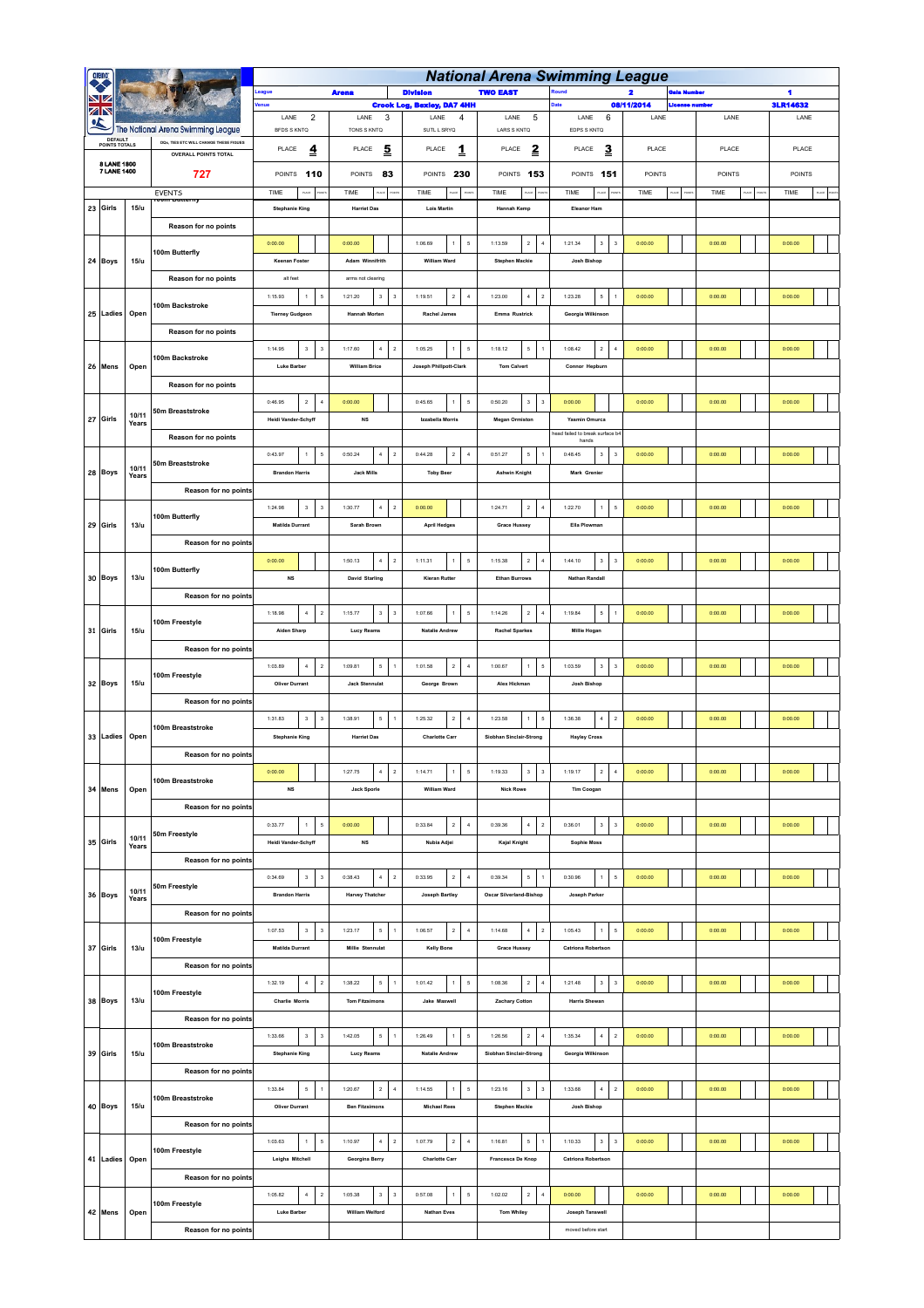|  |                            |                |                                                                              |                                                                 | <b>National Arena Swimming League</b>              |                                                                                                   |                                                                   |                                                                                                              |               |              |                 |  |  |  |  |  |  |  |
|--|----------------------------|----------------|------------------------------------------------------------------------------|-----------------------------------------------------------------|----------------------------------------------------|---------------------------------------------------------------------------------------------------|-------------------------------------------------------------------|--------------------------------------------------------------------------------------------------------------|---------------|--------------|-----------------|--|--|--|--|--|--|--|
|  |                            |                |                                                                              | eague                                                           | <b>Arena</b>                                       | <b>Division</b>                                                                                   | <b>TWO EAST</b>                                                   |                                                                                                              | 2             | ala Humber   | 4               |  |  |  |  |  |  |  |
|  | ZN                         |                |                                                                              | enue                                                            |                                                    | <b>Crook Log, Bexley, DA7 4HH</b>                                                                 |                                                                   |                                                                                                              | 08/11/2014    | Jeense numbe | <b>3LR14632</b> |  |  |  |  |  |  |  |
|  |                            |                |                                                                              | LANE<br>$\overline{2}$                                          | LANE<br>3                                          | LANE<br>$\overline{4}$                                                                            | LANE<br>5                                                         | LANE<br>6                                                                                                    | LANE          | LANE         | LANE            |  |  |  |  |  |  |  |
|  | <b>DEFAULT</b>             |                | The National Arena Swimming League<br>DOs. TIES ETC WILL CHANGE THESE FIGUES | <b>BFDS S KNTQ</b>                                              | TONS S KNTQ                                        | SUTL L SRYQ                                                                                       | LARS S KNTQ                                                       | EDPS S KNTQ                                                                                                  |               |              |                 |  |  |  |  |  |  |  |
|  | POINTS TOTALS              |                | <b>OVERALL POINTS TOTAL</b>                                                  | PLACE<br>$\overline{\mathbf{r}}$                                | 5<br>PLACE                                         | PLACE<br>1                                                                                        | $\mathbf{z}$<br>PLACE                                             | 3<br>PLACE                                                                                                   | PLACE         | PLACE        | PLACE           |  |  |  |  |  |  |  |
|  | 8 LANE 1800<br>7 LANE 1400 |                | 727                                                                          | POINTS<br>110                                                   | POINTS<br>83                                       | POINTS<br>230                                                                                     | POINTS 153                                                        | POINTS 151                                                                                                   | <b>POINTS</b> | POINTS       | POINTS          |  |  |  |  |  |  |  |
|  |                            |                | EVENTS                                                                       | TIME<br>$\overline{a}$                                          | TIME                                               | TIME                                                                                              | TIME                                                              | TIME<br>uo                                                                                                   | TIME          | TIME         | TIME<br>ш       |  |  |  |  |  |  |  |
|  | 23 Girls                   | 15/u           |                                                                              | <b>Stephanie King</b>                                           | <b>Harriet Das</b>                                 | <b>Lois Martin</b>                                                                                | <b>Hannah Kemp</b>                                                | Eleanor Ham                                                                                                  |               |              |                 |  |  |  |  |  |  |  |
|  |                            |                |                                                                              |                                                                 |                                                    |                                                                                                   |                                                                   |                                                                                                              |               |              |                 |  |  |  |  |  |  |  |
|  |                            |                | Reason for no points                                                         |                                                                 |                                                    |                                                                                                   |                                                                   |                                                                                                              |               |              |                 |  |  |  |  |  |  |  |
|  |                            |                | 100m Butterfly                                                               | 0:00.00                                                         | 0:00.00                                            | 1:06.69<br>$\mathsf{s}$<br>$\mathbf{1}$                                                           | 1:13.59<br>$\,$ 2 $\,$<br>$\sqrt{4}$                              | 1:21.34<br>$\mathbf{3}$<br>$\overline{\mathbf{3}}$                                                           | 0:00.00       | 0:00.00      | 0:00.00         |  |  |  |  |  |  |  |
|  | 24 Boys                    | 15/u           |                                                                              | <b>Keenan Foster</b>                                            | Adam Winnifrith                                    | William Ward                                                                                      | <b>Stephen Mackie</b>                                             | Josh Bishop                                                                                                  |               |              |                 |  |  |  |  |  |  |  |
|  |                            |                | Reason for no points                                                         | alt feet                                                        | arms not clearing                                  |                                                                                                   |                                                                   |                                                                                                              |               |              |                 |  |  |  |  |  |  |  |
|  |                            |                |                                                                              | 1:15.93<br>$\,$ 1 $\,$<br>$\sf 5$                               | 1:21.20<br>$\ensuremath{\mathsf{3}}$<br>3          | 1:19.51<br>$\sqrt{2}$<br>$\,$ 4 $\,$                                                              | 1:23.00<br>$\,$ 4 $\,$<br>$\sqrt{2}$                              | 1:23.28<br>5<br>1                                                                                            | 0:00.00       | 0:00.00      | 0:00.00         |  |  |  |  |  |  |  |
|  | 25 Ladies                  | Open           | 100m Backstroke                                                              | <b>Tierney Gudgeon</b>                                          | Hannah Morten                                      | Rachel James                                                                                      | Emma Rustrick                                                     | Georgia Wilkinson                                                                                            |               |              |                 |  |  |  |  |  |  |  |
|  |                            |                | Reason for no points                                                         |                                                                 |                                                    |                                                                                                   |                                                                   |                                                                                                              |               |              |                 |  |  |  |  |  |  |  |
|  |                            |                |                                                                              | $\ensuremath{\mathsf{3}}$<br>1:14.95<br>$_{\rm 3}$              | $\,$ 4 $\,$<br>$\,$ 2<br>1:17.60                   | $\mathsf{s}$<br>1:05.25<br>$\ddot{\phantom{1}}$                                                   | $\mathsf{s}$<br>1:18.12<br>$\overline{1}$                         | $\,$ 2 $\,$<br>$\overline{4}$<br>1:08.42                                                                     | 0:00.00       | 0:00.00      | 0:00.00         |  |  |  |  |  |  |  |
|  | 26 Mens                    | Open           | 100m Backstroke                                                              | <b>Luke Barber</b>                                              | <b>William Brice</b>                               | Joseph Phillpott-Clark                                                                            | <b>Tom Calvert</b>                                                | Connor Hepburn                                                                                               |               |              |                 |  |  |  |  |  |  |  |
|  |                            |                |                                                                              |                                                                 |                                                    |                                                                                                   |                                                                   |                                                                                                              |               |              |                 |  |  |  |  |  |  |  |
|  |                            |                | Reason for no points                                                         |                                                                 |                                                    |                                                                                                   |                                                                   |                                                                                                              |               |              |                 |  |  |  |  |  |  |  |
|  |                            | 10/11          | 50m Breaststroke                                                             | $\,$ 2 $\,$<br>0:46.95<br>$\boldsymbol{4}$                      | 0:00.00                                            | 0:45.65<br>$\mathsf{s}$<br>$\ddot{\phantom{1}}$                                                   | 0:50.20<br>$\mathbf 3$<br>$\mathbf{3}$                            | 0:00.00                                                                                                      | 0:00.00       | 0:00.00      | 0:00.00         |  |  |  |  |  |  |  |
|  | 27 Girls                   | Years          |                                                                              | <b>Heidi Vander-Schyff</b>                                      | NS                                                 | Izzabella Morris                                                                                  | <b>Megan Ormiston</b>                                             | Yasmin Omurca                                                                                                |               |              |                 |  |  |  |  |  |  |  |
|  |                            |                | Reason for no points                                                         |                                                                 |                                                    |                                                                                                   |                                                                   | head failed to break surface b4<br>hands                                                                     |               |              |                 |  |  |  |  |  |  |  |
|  |                            |                | 50m Breaststroke                                                             | 0:43.97<br>$\,1\,$<br>$\sf 5$                                   | 0:50.24<br>$\overline{4}$<br>$\sqrt{2}$            | 0:44.28<br>$\sqrt{2}$<br>$\overline{4}$                                                           | $\mathsf{s}$<br>0:51.27                                           | 0:48.45<br>$\mathbf 3$<br>$\overline{\mathbf{3}}$                                                            | 0:00.00       | 0:00.00      | 0:00.00         |  |  |  |  |  |  |  |
|  | 28 Boys                    | 10/11<br>Years |                                                                              | <b>Brandon Harris</b>                                           | <b>Jack Mills</b>                                  | <b>Toby Beer</b>                                                                                  | <b>Ashwin Knight</b>                                              | Mark Grenier                                                                                                 |               |              |                 |  |  |  |  |  |  |  |
|  |                            |                | Reason for no points                                                         |                                                                 |                                                    |                                                                                                   |                                                                   |                                                                                                              |               |              |                 |  |  |  |  |  |  |  |
|  |                            |                |                                                                              | $\mathbf{3}$<br>1:24.98<br>$\overline{\mathbf{3}}$              | $\sim$<br>$\overline{2}$<br>1:30.77                | 0:00.00                                                                                           | $\,$ 2 $\,$<br>1:24.71<br>$\overline{4}$                          | $\,$ 5<br>1:22.70<br>$\,1\,$                                                                                 | 0:00.00       | 0:00.00      | 0:00.00         |  |  |  |  |  |  |  |
|  | 29 Girls                   | 13/u           | 100m Butterfly                                                               | <b>Matilda Durrant</b>                                          | Sarah Brown                                        | <b>April Hedges</b>                                                                               | <b>Grace Hussey</b>                                               | Ella Plowman                                                                                                 |               |              |                 |  |  |  |  |  |  |  |
|  |                            |                | Reason for no points                                                         |                                                                 |                                                    |                                                                                                   |                                                                   |                                                                                                              |               |              |                 |  |  |  |  |  |  |  |
|  |                            |                |                                                                              | 0:00.00                                                         | 1:50.13<br>$\,$ 4 $\,$<br>$\,$ 2                   | 1:11.31<br>$\mathsf{s}$<br>$\ddot{\phantom{1}}$                                                   | $\,$ 2 $\,$<br>1:15.38<br>$\sqrt{4}$                              | 1:44.10<br>$^{\rm 3}$<br>$\overline{\mathbf{3}}$                                                             | 0:00.00       | 0:00.00      | 0:00.00         |  |  |  |  |  |  |  |
|  |                            |                | 100m Butterfly                                                               |                                                                 |                                                    |                                                                                                   |                                                                   |                                                                                                              |               |              |                 |  |  |  |  |  |  |  |
|  | 30 Boys                    | 13/u           |                                                                              | <b>NS</b>                                                       | <b>David Starling</b>                              | <b>Kieran Rutter</b>                                                                              | <b>Ethan Burrows</b>                                              | <b>Nathan Randall</b>                                                                                        |               |              |                 |  |  |  |  |  |  |  |
|  |                            |                | Reason for no points                                                         |                                                                 |                                                    |                                                                                                   |                                                                   |                                                                                                              |               |              |                 |  |  |  |  |  |  |  |
|  | 31 Girls                   |                | 100m Freestyle                                                               | 1:18.98<br>$\,$ 4 $\,$<br>$\,$ 2 $\,$                           | 1:15.77<br>$\ensuremath{\mathsf{3}}$<br>$\sqrt{3}$ | 1:07.66<br>$\mathsf{s}$<br>$\mathbf{1}$                                                           | 1:14.26<br>$\,$ 2 $\,$<br>$\sqrt{4}$                              | 1:19.84<br>5<br>$\,$ 1 $\,$                                                                                  | 0:00.00       | 0:00.00      | 0:00.00         |  |  |  |  |  |  |  |
|  |                            | 15/u           |                                                                              | <b>Aiden Sharp</b>                                              | <b>Lucy Reams</b>                                  | <b>Natalie Andrew</b>                                                                             | <b>Rachel Sparkes</b>                                             | Millie Hogan                                                                                                 |               |              |                 |  |  |  |  |  |  |  |
|  |                            |                | Reason for no points                                                         |                                                                 |                                                    |                                                                                                   |                                                                   |                                                                                                              |               |              |                 |  |  |  |  |  |  |  |
|  | 32 Boys                    | 15/u           |                                                                              | 1:03.89<br>$\overline{4}$<br>$\overline{2}$                     | 5<br>1:09.81<br>$\overline{1}$                     | $\,$ 2 $\,$<br>$\overline{4}$<br>1:01.58                                                          | 1:00.67<br>$\mathbf{1}$<br>5                                      | 1:03.59<br>$\ensuremath{\mathsf{3}}$<br>$\overline{\mathbf{3}}$                                              | 0:00.00       | 0:00.00      | 0:00.00         |  |  |  |  |  |  |  |
|  |                            |                | 100m Freestyle<br>Reason for no points                                       | <b>Oliver Durrant</b>                                           | <b>Jack Stennulat</b>                              | George Brown                                                                                      | Alex Hickman                                                      | Josh Bishop                                                                                                  |               |              |                 |  |  |  |  |  |  |  |
|  |                            |                |                                                                              |                                                                 |                                                    |                                                                                                   |                                                                   |                                                                                                              |               |              |                 |  |  |  |  |  |  |  |
|  |                            |                |                                                                              | 1:31.83<br>$\mathbf 3$<br>$_{\rm 3}$                            | 1:38.91<br>$\mathsf{s}$<br>$\overline{1}$          | 1:25.32<br>$\,$ 2 $\,$<br>$\sqrt{4}$                                                              | 1:23.58<br>$\mathbf{1}$<br>$\mathsf{s}$                           | 1:36.38<br>$\,$ 4 $\,$<br>$\sqrt{2}$                                                                         | 0:00.00       | 0:00.00      | 0:00.00         |  |  |  |  |  |  |  |
|  | 33 Ladies                  | Open           | 100m Breaststroke                                                            | <b>Stephanie King</b>                                           | <b>Harriet Das</b>                                 | <b>Charlotte Carr</b>                                                                             | Siobhan Sinclair-Strong                                           | <b>Hayley Cross</b>                                                                                          |               |              |                 |  |  |  |  |  |  |  |
|  |                            |                | Reason for no points                                                         |                                                                 |                                                    |                                                                                                   |                                                                   |                                                                                                              |               |              |                 |  |  |  |  |  |  |  |
|  |                            |                |                                                                              | 0:00.00                                                         | 1:27.75<br>$\overline{4}$<br>$\sqrt{2}$            | 1:14.71<br>$\mathbf{1}$<br>$\mathsf{s}$                                                           | $\ensuremath{\mathsf{3}}$<br>1:19.33<br>$\ensuremath{\mathsf{3}}$ | 1:19.17<br>$\mathbf{2}% =\mathbf{1}_{B}\left( \mathbf{1}_{B}\right) ^{\ast}\mathbf{1}_{B}$<br>$\overline{a}$ | 0:00.00       | 0:00.00      | 0:00.00         |  |  |  |  |  |  |  |
|  |                            |                | 100m Breaststroke                                                            |                                                                 |                                                    |                                                                                                   |                                                                   |                                                                                                              |               |              |                 |  |  |  |  |  |  |  |
|  | 34 Mens                    | Open           |                                                                              | <b>NS</b>                                                       | <b>Jack Sporle</b>                                 | <b>William Ward</b>                                                                               | <b>Nick Rowe</b>                                                  | <b>Tim Coogan</b>                                                                                            |               |              |                 |  |  |  |  |  |  |  |
|  |                            |                | Reason for no points                                                         |                                                                 |                                                    |                                                                                                   |                                                                   |                                                                                                              |               |              |                 |  |  |  |  |  |  |  |
|  |                            |                | 50m Freestyle                                                                | $\mathsf{s}$<br>0:33.77<br>$\mathbf{1}$                         | 0:00.00                                            | 0:33.84<br>$\sqrt{2}$<br>$\sim$                                                                   | $\,$ 4 $\,$<br>0:39.36<br>$\overline{2}$                          | 0:36.01<br>$\mathbf{3}$<br>$\overline{\mathbf{3}}$                                                           | 0:00.00       | 0:00.00      | 0:00.00         |  |  |  |  |  |  |  |
|  | 35 Girls                   | 10/11<br>Years |                                                                              | <b>Heidi Vander-Schyff</b>                                      | $_{\rm NS}$                                        | Nubia Adjei                                                                                       | Kajal Knight                                                      | Sophie Moss                                                                                                  |               |              |                 |  |  |  |  |  |  |  |
|  |                            |                | Reason for no points                                                         |                                                                 |                                                    |                                                                                                   |                                                                   |                                                                                                              |               |              |                 |  |  |  |  |  |  |  |
|  |                            |                |                                                                              | 0:34.69<br>$\mathbf 3$<br>$_{\rm 3}$                            | 0:38.43<br>$\,$ 4 $\,$<br>$\,$ 2                   | 0:33.95<br>$\,$ 2 $\,$<br>$\sqrt{4}$                                                              | 0:39.34<br>$\mathsf{s}$<br>$\mathbf{1}$                           | 0:30.96<br>$\sqrt{5}$<br>$\mathbf{1}$                                                                        | 0:00.00       | 0:00.00      | 0:00.00         |  |  |  |  |  |  |  |
|  | 36 Boys                    | 10/11<br>Years | 50m Freestyle                                                                | <b>Brandon Harris</b>                                           | <b>Harvey Thatcher</b>                             | Joseph Bartley                                                                                    | Oscar Silverland-Bishop                                           | Joseph Parker                                                                                                |               |              |                 |  |  |  |  |  |  |  |
|  |                            |                | Reason for no points                                                         |                                                                 |                                                    |                                                                                                   |                                                                   |                                                                                                              |               |              |                 |  |  |  |  |  |  |  |
|  |                            |                |                                                                              | 1:07.53<br>$\ensuremath{\mathsf{3}}$<br>$\,$ 3 $\,$             | 1:23.17<br>$\mathsf{s}\,$<br>$\ddot{\phantom{1}}$  | 1:06.57<br>$\mathbf{2}% =\mathbf{1}_{B}\left( \mathbf{1}_{B}\right) ^{\ast }$<br>$\boldsymbol{4}$ | 1:14.68<br>$\,$ 4 $\,$<br>$\,$ 2 $\,$                             | 1:05.43<br>$\mathsf{s}$<br>$\mathbf{1}$                                                                      | 0:00.00       | 0:00.00      | 0:00.00         |  |  |  |  |  |  |  |
|  | 37 Girls                   | 13/u           | 100m Freestyle                                                               | <b>Matilda Durrant</b>                                          | <b>Millie Stennulat</b>                            | <b>Kelly Bone</b>                                                                                 | <b>Grace Hussey</b>                                               | <b>Catriona Robertson</b>                                                                                    |               |              |                 |  |  |  |  |  |  |  |
|  |                            |                |                                                                              |                                                                 |                                                    |                                                                                                   |                                                                   |                                                                                                              |               |              |                 |  |  |  |  |  |  |  |
|  |                            |                | Reason for no points                                                         |                                                                 |                                                    |                                                                                                   |                                                                   |                                                                                                              |               |              |                 |  |  |  |  |  |  |  |
|  |                            |                | 100m Freestyle                                                               | 1:32.19<br>4<br>$\sqrt{2}$                                      | $\mathsf{s}\,$<br>1:38.22<br>$\overline{1}$        | 1:01.42<br>$\mathbf{1}$<br>$\sqrt{5}$                                                             | $\,$ 2 $\,$<br>1:08.36<br>$\overline{4}$                          | $3^{\circ}$<br>1:21.48<br>$\overline{\mathbf{3}}$                                                            | 0:00.00       | 0:00.00      | 0:00.00         |  |  |  |  |  |  |  |
|  | 38 Boys                    | 13/u           |                                                                              | <b>Charlie Morris</b>                                           | <b>Tom Fitzsimons</b>                              | Jake Maxwell                                                                                      | <b>Zachary Cotton</b>                                             | <b>Harris Shewan</b>                                                                                         |               |              |                 |  |  |  |  |  |  |  |
|  |                            |                | Reason for no points                                                         |                                                                 |                                                    |                                                                                                   |                                                                   |                                                                                                              |               |              |                 |  |  |  |  |  |  |  |
|  |                            |                | 100m Breaststroke                                                            | $\ensuremath{\mathsf{3}}$<br>1:33.66<br>$\overline{\mathbf{3}}$ | 1:42.05<br>$\mathsf{s}\,$<br>$\overline{1}$        | 1:26.49<br>5<br>$\overline{1}$                                                                    | $\,$ 2 $\,$<br>1:26.56<br>$\overline{4}$                          | $\sim$<br>$\sqrt{2}$<br>1:35.34                                                                              | 0:00.00       | 0:00.00      | 0:00.00         |  |  |  |  |  |  |  |
|  | 39 Girls                   | 15/u           |                                                                              | <b>Stephanie King</b>                                           | <b>Lucy Reams</b>                                  | <b>Natalie Andrew</b>                                                                             | Siobhan Sinclair-Strong                                           | Georgia Wilkinson                                                                                            |               |              |                 |  |  |  |  |  |  |  |
|  |                            |                | Reason for no points                                                         |                                                                 |                                                    |                                                                                                   |                                                                   |                                                                                                              |               |              |                 |  |  |  |  |  |  |  |
|  |                            |                |                                                                              | 1:33.84<br>$\mathsf{s}\,$<br>$\,$ 1                             | 1:20.67<br>$\,$ 2 $\,$<br>$\overline{4}$           | 1:14.55<br>$\mathsf{s}$<br>$\mathbf{1}$                                                           | 1:23.16<br>$\ensuremath{\mathsf{3}}$<br>$^{\rm 3}$                | 1:33.68<br>$\boldsymbol{4}$<br>$\sqrt{2}$                                                                    | 0:00.00       | 0:00.00      | 0:00.00         |  |  |  |  |  |  |  |
|  | 40 Boys                    | 15/u           | 100m Breaststroke                                                            | <b>Oliver Durrant</b>                                           | <b>Ben Fitzsimons</b>                              | <b>Michael Rees</b>                                                                               | <b>Stephen Mackie</b>                                             | Josh Bishop                                                                                                  |               |              |                 |  |  |  |  |  |  |  |
|  |                            |                | Reason for no points                                                         |                                                                 |                                                    |                                                                                                   |                                                                   |                                                                                                              |               |              |                 |  |  |  |  |  |  |  |
|  |                            |                |                                                                              | 1:03.63                                                         | 1:10.97<br>$\sim$                                  | 1:07.79<br>$\sim$                                                                                 | $\mathbf{1}$                                                      | 1:10.33                                                                                                      |               | 0:00.00      |                 |  |  |  |  |  |  |  |
|  |                            |                | 100m Freestyle                                                               | $\,1\,$<br>$\mathsf{s}$                                         | $\sqrt{2}$                                         | $\sqrt{2}$                                                                                        | 1:16.81<br>$\mathsf{s}$                                           | $\mathbf{3}$<br>$\overline{\mathbf{3}}$                                                                      | 0:00.00       |              | 0:00.00         |  |  |  |  |  |  |  |
|  | 41 Ladies Open             |                |                                                                              | Leigha Mitchell                                                 | Georgina Berry                                     | <b>Charlotte Carr</b>                                                                             | Francesca De Knop                                                 | <b>Catriona Robertson</b>                                                                                    |               |              |                 |  |  |  |  |  |  |  |
|  |                            |                | Reason for no points                                                         |                                                                 |                                                    |                                                                                                   |                                                                   |                                                                                                              |               |              |                 |  |  |  |  |  |  |  |
|  |                            |                | 100m Freestyle                                                               | $\,$ 4 $\,$<br>$\overline{2}$<br>1:05.82                        | 1:05.38<br>$\mathbf{3}$<br>$\overline{\mathbf{3}}$ | $\sqrt{5}$<br>0:57.08<br>$\ddot{\phantom{1}}$                                                     | $\sqrt{2}$<br>1:02.02<br>$\overline{4}$                           | 0:00.00                                                                                                      | 0:00.00       | 0:00.00      | 0:00.00         |  |  |  |  |  |  |  |
|  | 42 Mens                    | Open           |                                                                              | <b>Luke Barber</b>                                              | William Welford                                    | <b>Nathan Eves</b>                                                                                | <b>Tom Whiley</b>                                                 | Joseph Tanswell                                                                                              |               |              |                 |  |  |  |  |  |  |  |
|  |                            |                | Reason for no points                                                         |                                                                 |                                                    |                                                                                                   |                                                                   | moved before start                                                                                           |               |              |                 |  |  |  |  |  |  |  |